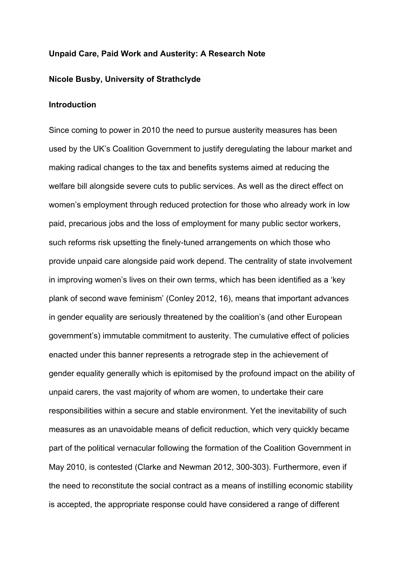### **Unpaid Care, Paid Work and Austerity: A Research Note**

# **Nicole Busby, University of Strathclyde**

### **Introduction**

Since coming to power in 2010 the need to pursue austerity measures has been used by the UK's Coalition Government to justify deregulating the labour market and making radical changes to the tax and benefits systems aimed at reducing the welfare bill alongside severe cuts to public services. As well as the direct effect on women's employment through reduced protection for those who already work in low paid, precarious jobs and the loss of employment for many public sector workers, such reforms risk upsetting the finely-tuned arrangements on which those who provide unpaid care alongside paid work depend. The centrality of state involvement in improving women's lives on their own terms, which has been identified as a 'key plank of second wave feminism' (Conley 2012, 16), means that important advances in gender equality are seriously threatened by the coalition's (and other European government's) immutable commitment to austerity. The cumulative effect of policies enacted under this banner represents a retrograde step in the achievement of gender equality generally which is epitomised by the profound impact on the ability of unpaid carers, the vast majority of whom are women, to undertake their care responsibilities within a secure and stable environment. Yet the inevitability of such measures as an unavoidable means of deficit reduction, which very quickly became part of the political vernacular following the formation of the Coalition Government in May 2010, is contested (Clarke and Newman 2012, 300-303). Furthermore, even if the need to reconstitute the social contract as a means of instilling economic stability is accepted, the appropriate response could have considered a range of different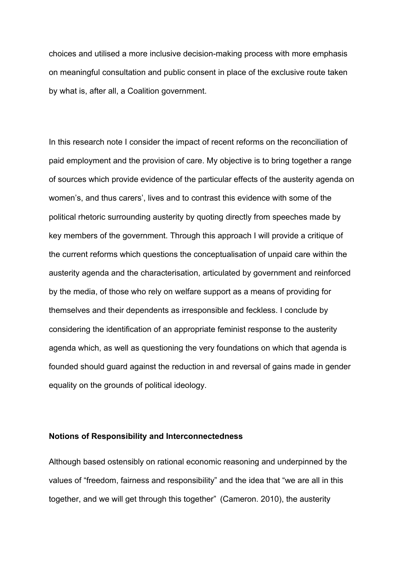choices and utilised a more inclusive decision-making process with more emphasis on meaningful consultation and public consent in place of the exclusive route taken by what is, after all, a Coalition government.

In this research note I consider the impact of recent reforms on the reconciliation of paid employment and the provision of care. My objective is to bring together a range of sources which provide evidence of the particular effects of the austerity agenda on women's, and thus carers', lives and to contrast this evidence with some of the political rhetoric surrounding austerity by quoting directly from speeches made by key members of the government. Through this approach I will provide a critique of the current reforms which questions the conceptualisation of unpaid care within the austerity agenda and the characterisation, articulated by government and reinforced by the media, of those who rely on welfare support as a means of providing for themselves and their dependents as irresponsible and feckless. I conclude by considering the identification of an appropriate feminist response to the austerity agenda which, as well as questioning the very foundations on which that agenda is founded should guard against the reduction in and reversal of gains made in gender equality on the grounds of political ideology.

# **Notions of Responsibility and Interconnectedness**

Although based ostensibly on rational economic reasoning and underpinned by the values of "freedom, fairness and responsibility" and the idea that "we are all in this together, and we will get through this together" (Cameron. 2010), the austerity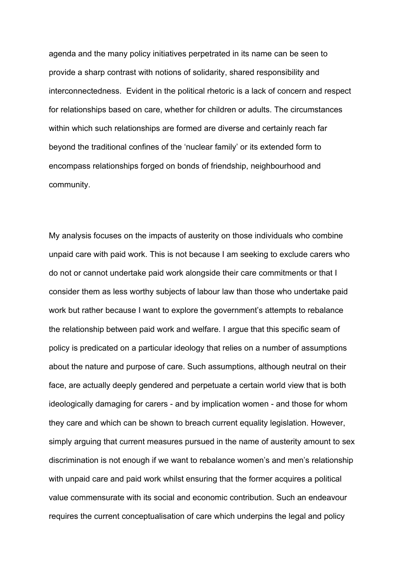agenda and the many policy initiatives perpetrated in its name can be seen to provide a sharp contrast with notions of solidarity, shared responsibility and interconnectedness. Evident in the political rhetoric is a lack of concern and respect for relationships based on care, whether for children or adults. The circumstances within which such relationships are formed are diverse and certainly reach far beyond the traditional confines of the 'nuclear family' or its extended form to encompass relationships forged on bonds of friendship, neighbourhood and community.

My analysis focuses on the impacts of austerity on those individuals who combine unpaid care with paid work. This is not because I am seeking to exclude carers who do not or cannot undertake paid work alongside their care commitments or that I consider them as less worthy subjects of labour law than those who undertake paid work but rather because I want to explore the government's attempts to rebalance the relationship between paid work and welfare. I argue that this specific seam of policy is predicated on a particular ideology that relies on a number of assumptions about the nature and purpose of care. Such assumptions, although neutral on their face, are actually deeply gendered and perpetuate a certain world view that is both ideologically damaging for carers - and by implication women - and those for whom they care and which can be shown to breach current equality legislation. However, simply arguing that current measures pursued in the name of austerity amount to sex discrimination is not enough if we want to rebalance women's and men's relationship with unpaid care and paid work whilst ensuring that the former acquires a political value commensurate with its social and economic contribution. Such an endeavour requires the current conceptualisation of care which underpins the legal and policy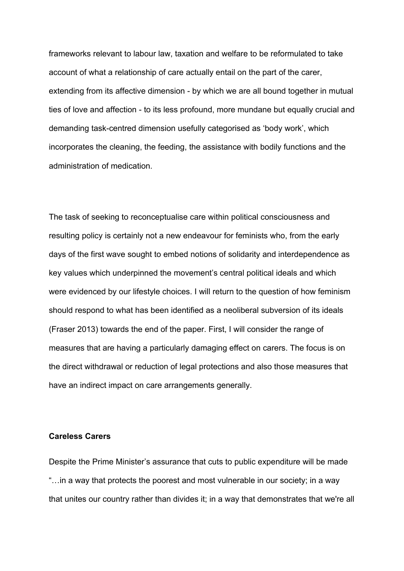frameworks relevant to labour law, taxation and welfare to be reformulated to take account of what a relationship of care actually entail on the part of the carer, extending from its affective dimension - by which we are all bound together in mutual ties of love and affection - to its less profound, more mundane but equally crucial and demanding task-centred dimension usefully categorised as 'body work', which incorporates the cleaning, the feeding, the assistance with bodily functions and the administration of medication.

The task of seeking to reconceptualise care within political consciousness and resulting policy is certainly not a new endeavour for feminists who, from the early days of the first wave sought to embed notions of solidarity and interdependence as key values which underpinned the movement's central political ideals and which were evidenced by our lifestyle choices. I will return to the question of how feminism should respond to what has been identified as a neoliberal subversion of its ideals (Fraser 2013) towards the end of the paper. First, I will consider the range of measures that are having a particularly damaging effect on carers. The focus is on the direct withdrawal or reduction of legal protections and also those measures that have an indirect impact on care arrangements generally.

# **Careless Carers**

Despite the Prime Minister's assurance that cuts to public expenditure will be made "…in a way that protects the poorest and most vulnerable in our society; in a way that unites our country rather than divides it; in a way that demonstrates that we're all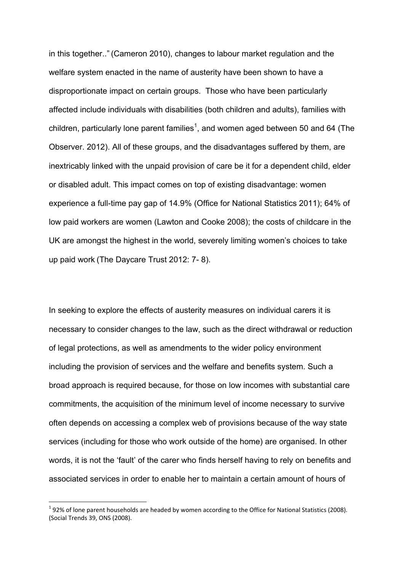in this together.." (Cameron 2010), changes to labour market regulation and the welfare system enacted in the name of austerity have been shown to have a disproportionate impact on certain groups. Those who have been particularly affected include individuals with disabilities (both children and adults), families with children, particularly lone parent families<sup>1</sup>, and women aged between 50 and 64 (The Observer. 2012). All of these groups, and the disadvantages suffered by them, are inextricably linked with the unpaid provision of care be it for a dependent child, elder or disabled adult. This impact comes on top of existing disadvantage: women experience a full-time pay gap of 14.9% (Office for National Statistics 2011); 64% of low paid workers are women (Lawton and Cooke 2008); the costs of childcare in the UK are amongst the highest in the world, severely limiting women's choices to take up paid work (The Daycare Trust 2012: 7- 8).

In seeking to explore the effects of austerity measures on individual carers it is necessary to consider changes to the law, such as the direct withdrawal or reduction of legal protections, as well as amendments to the wider policy environment including the provision of services and the welfare and benefits system. Such a broad approach is required because, for those on low incomes with substantial care commitments, the acquisition of the minimum level of income necessary to survive often depends on accessing a complex web of provisions because of the way state services (including for those who work outside of the home) are organised. In other words, it is not the 'fault' of the carer who finds herself having to rely on benefits and associated services in order to enable her to maintain a certain amount of hours of

 $\overline{a}$ 

 $<sup>1</sup>$  92% of lone parent households are headed by women according to the Office for National Statistics (2008).</sup> (Social Trends 39, ONS (2008).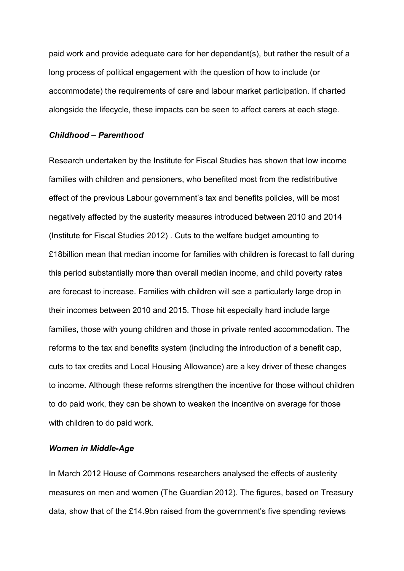paid work and provide adequate care for her dependant(s), but rather the result of a long process of political engagement with the question of how to include (or accommodate) the requirements of care and labour market participation. If charted alongside the lifecycle, these impacts can be seen to affect carers at each stage.

### *Childhood – Parenthood*

Research undertaken by the Institute for Fiscal Studies has shown that low income families with children and pensioners, who benefited most from the redistributive effect of the previous Labour government's tax and benefits policies, will be most negatively affected by the austerity measures introduced between 2010 and 2014 (Institute for Fiscal Studies 2012) . Cuts to the welfare budget amounting to £18billion mean that median income for families with children is forecast to fall during this period substantially more than overall median income, and child poverty rates are forecast to increase. Families with children will see a particularly large drop in their incomes between 2010 and 2015. Those hit especially hard include large families, those with young children and those in private rented accommodation. The reforms to the tax and benefits system (including the introduction of a benefit cap, cuts to tax credits and Local Housing Allowance) are a key driver of these changes to income. Although these reforms strengthen the incentive for those without children to do paid work, they can be shown to weaken the incentive on average for those with children to do paid work.

### *Women in Middle-Age*

In March 2012 House of Commons researchers analysed the effects of austerity measures on men and women (The Guardian 2012). The figures, based on Treasury data, show that of the £14.9bn raised from the government's five spending reviews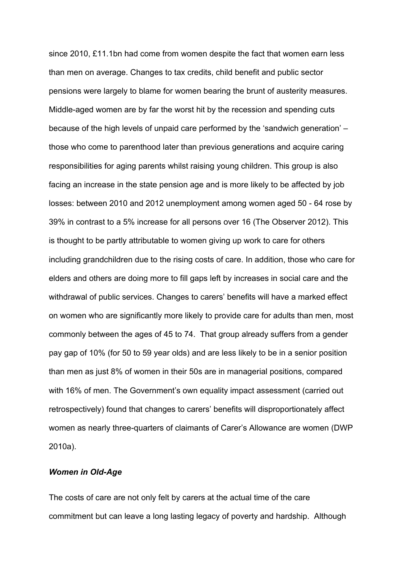since 2010, £11.1bn had come from women despite the fact that women earn less than men on average. Changes to tax credits, child benefit and public sector pensions were largely to blame for women bearing the brunt of austerity measures. Middle-aged women are by far the worst hit by the recession and spending cuts because of the high levels of unpaid care performed by the 'sandwich generation' – those who come to parenthood later than previous generations and acquire caring responsibilities for aging parents whilst raising young children. This group is also facing an increase in the state pension age and is more likely to be affected by job losses: between 2010 and 2012 unemployment among women aged 50 - 64 rose by 39% in contrast to a 5% increase for all persons over 16 (The Observer 2012). This is thought to be partly attributable to women giving up work to care for others including grandchildren due to the rising costs of care. In addition, those who care for elders and others are doing more to fill gaps left by increases in social care and the withdrawal of public services. Changes to carers' benefits will have a marked effect on women who are significantly more likely to provide care for adults than men, most commonly between the ages of 45 to 74. That group already suffers from a gender pay gap of 10% (for 50 to 59 year olds) and are less likely to be in a senior position than men as just 8% of women in their 50s are in managerial positions, compared with 16% of men. The Government's own equality impact assessment (carried out retrospectively) found that changes to carers' benefits will disproportionately affect women as nearly three-quarters of claimants of Carer's Allowance are women (DWP 2010a).

# *Women in Old-Age*

The costs of care are not only felt by carers at the actual time of the care commitment but can leave a long lasting legacy of poverty and hardship. Although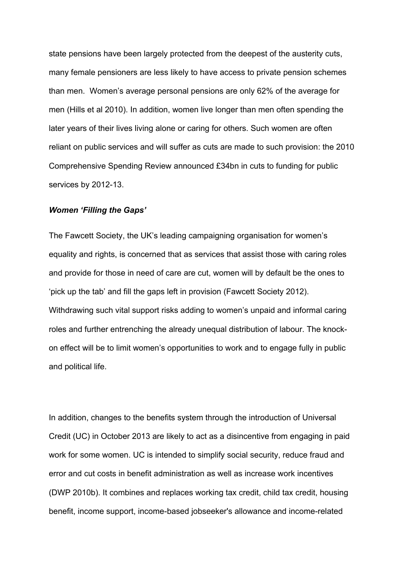state pensions have been largely protected from the deepest of the austerity cuts, many female pensioners are less likely to have access to private pension schemes than men. Women's average personal pensions are only 62% of the average for men (Hills et al 2010). In addition, women live longer than men often spending the later years of their lives living alone or caring for others. Such women are often reliant on public services and will suffer as cuts are made to such provision: the 2010 Comprehensive Spending Review announced £34bn in cuts to funding for public services by 2012-13.

### *Women 'Filling the Gaps'*

The Fawcett Society, the UK's leading campaigning organisation for women's equality and rights, is concerned that as services that assist those with caring roles and provide for those in need of care are cut, women will by default be the ones to 'pick up the tab' and fill the gaps left in provision (Fawcett Society 2012). Withdrawing such vital support risks adding to women's unpaid and informal caring roles and further entrenching the already unequal distribution of labour. The knockon effect will be to limit women's opportunities to work and to engage fully in public and political life.

In addition, changes to the benefits system through the introduction of Universal Credit (UC) in October 2013 are likely to act as a disincentive from engaging in paid work for some women. UC is intended to simplify social security, reduce fraud and error and cut costs in benefit administration as well as increase work incentives (DWP 2010b). It combines and replaces working tax credit, child tax credit, housing benefit, income support, income-based jobseeker's allowance and income-related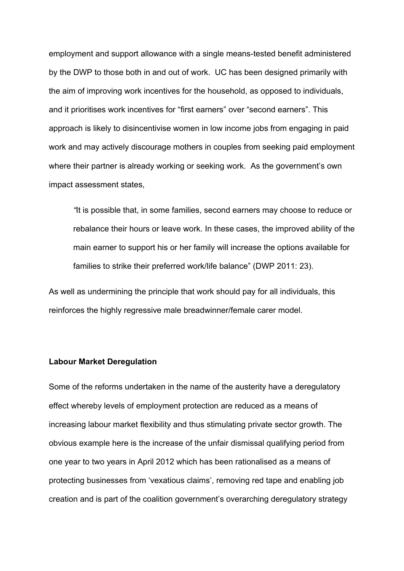employment and support allowance with a single means-tested benefit administered by the DWP to those both in and out of work. UC has been designed primarily with the aim of improving work incentives for the household, as opposed to individuals, and it prioritises work incentives for "first earners" over "second earners". This approach is likely to disincentivise women in low income jobs from engaging in paid work and may actively discourage mothers in couples from seeking paid employment where their partner is already working or seeking work. As the government's own impact assessment states,

*"*It is possible that, in some families, second earners may choose to reduce or rebalance their hours or leave work. In these cases, the improved ability of the main earner to support his or her family will increase the options available for families to strike their preferred work/life balance" (DWP 2011: 23).

As well as undermining the principle that work should pay for all individuals, this reinforces the highly regressive male breadwinner/female carer model.

### **Labour Market Deregulation**

Some of the reforms undertaken in the name of the austerity have a deregulatory effect whereby levels of employment protection are reduced as a means of increasing labour market flexibility and thus stimulating private sector growth. The obvious example here is the increase of the unfair dismissal qualifying period from one year to two years in April 2012 which has been rationalised as a means of protecting businesses from 'vexatious claims', removing red tape and enabling job creation and is part of the coalition government's overarching deregulatory strategy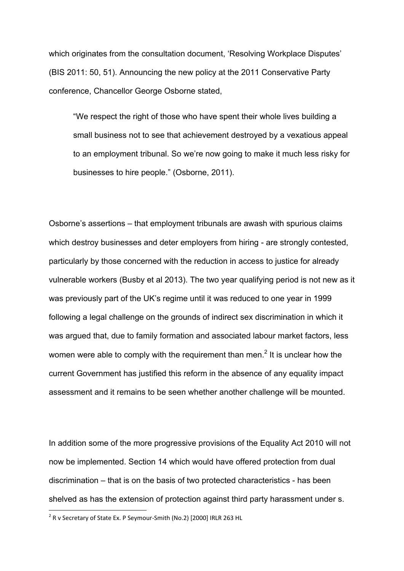which originates from the consultation document, 'Resolving Workplace Disputes' (BIS 2011: 50, 51). Announcing the new policy at the 2011 Conservative Party conference, Chancellor George Osborne stated,

"We respect the right of those who have spent their whole lives building a small business not to see that achievement destroyed by a vexatious appeal to an employment tribunal. So we're now going to make it much less risky for businesses to hire people." (Osborne, 2011).

Osborne's assertions – that employment tribunals are awash with spurious claims which destroy businesses and deter employers from hiring - are strongly contested, particularly by those concerned with the reduction in access to justice for already vulnerable workers (Busby et al 2013). The two year qualifying period is not new as it was previously part of the UK's regime until it was reduced to one year in 1999 following a legal challenge on the grounds of indirect sex discrimination in which it was argued that, due to family formation and associated labour market factors, less women were able to comply with the requirement than men.<sup>2</sup> It is unclear how the current Government has justified this reform in the absence of any equality impact assessment and it remains to be seen whether another challenge will be mounted.

In addition some of the more progressive provisions of the Equality Act 2010 will not now be implemented. Section 14 which would have offered protection from dual discrimination – that is on the basis of two protected characteristics - has been shelved as has the extension of protection against third party harassment under s.

 2 R v Secretary of State Ex. P Seymour-Smith (No.2) [2000] IRLR 263 HL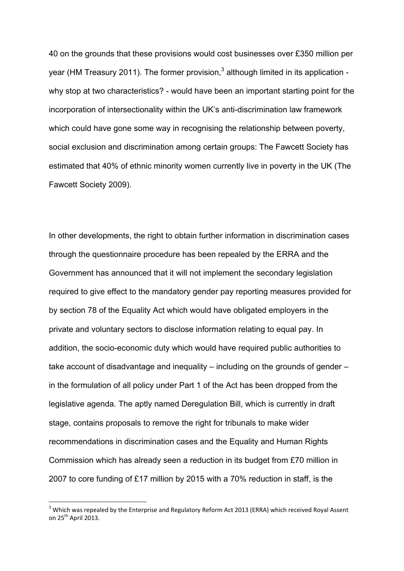40 on the grounds that these provisions would cost businesses over £350 million per year (HM Treasury 2011). The former provision, $3$  although limited in its application why stop at two characteristics? - would have been an important starting point for the incorporation of intersectionality within the UK's anti-discrimination law framework which could have gone some way in recognising the relationship between poverty, social exclusion and discrimination among certain groups: The Fawcett Society has estimated that 40% of ethnic minority women currently live in poverty in the UK (The Fawcett Society 2009).

In other developments, the right to obtain further information in discrimination cases through the questionnaire procedure has been repealed by the ERRA and the Government has announced that it will not implement the secondary legislation required to give effect to the mandatory gender pay reporting measures provided for by section 78 of the Equality Act which would have obligated employers in the private and voluntary sectors to disclose information relating to equal pay. In addition, the socio-economic duty which would have required public authorities to take account of disadvantage and inequality – including on the grounds of gender – in the formulation of all policy under Part 1 of the Act has been dropped from the legislative agenda. The aptly named Deregulation Bill, which is currently in draft stage, contains proposals to remove the right for tribunals to make wider recommendations in discrimination cases and the Equality and Human Rights Commission which has already seen a reduction in its budget from £70 million in 2007 to core funding of £17 million by 2015 with a 70% reduction in staff, is the

 $\overline{a}$ 

 $3$  Which was repealed by the Enterprise and Regulatory Reform Act 2013 (ERRA) which received Royal Assent on  $25^{th}$  April 2013.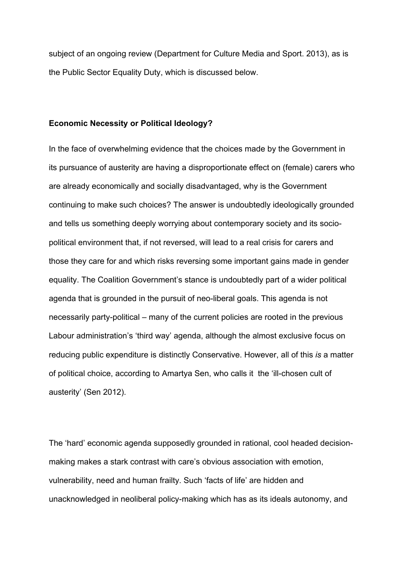subject of an ongoing review (Department for Culture Media and Sport. 2013), as is the Public Sector Equality Duty, which is discussed below.

### **Economic Necessity or Political Ideology?**

In the face of overwhelming evidence that the choices made by the Government in its pursuance of austerity are having a disproportionate effect on (female) carers who are already economically and socially disadvantaged, why is the Government continuing to make such choices? The answer is undoubtedly ideologically grounded and tells us something deeply worrying about contemporary society and its sociopolitical environment that, if not reversed, will lead to a real crisis for carers and those they care for and which risks reversing some important gains made in gender equality. The Coalition Government's stance is undoubtedly part of a wider political agenda that is grounded in the pursuit of neo-liberal goals. This agenda is not necessarily party-political – many of the current policies are rooted in the previous Labour administration's 'third way' agenda, although the almost exclusive focus on reducing public expenditure is distinctly Conservative. However, all of this *is* a matter of political choice, according to Amartya Sen, who calls it the 'ill-chosen cult of austerity' (Sen 2012).

The 'hard' economic agenda supposedly grounded in rational, cool headed decisionmaking makes a stark contrast with care's obvious association with emotion, vulnerability, need and human frailty. Such 'facts of life' are hidden and unacknowledged in neoliberal policy-making which has as its ideals autonomy, and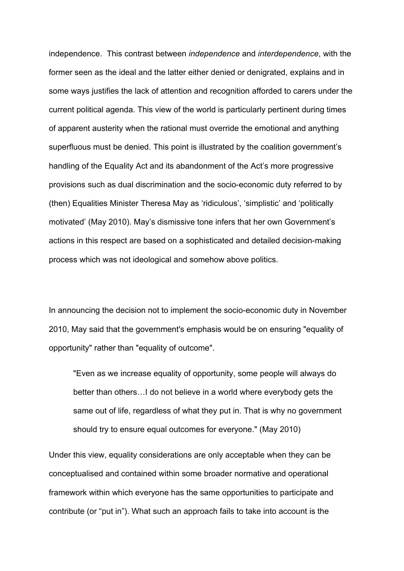independence. This contrast between *independence* and *interdependence*, with the former seen as the ideal and the latter either denied or denigrated, explains and in some ways justifies the lack of attention and recognition afforded to carers under the current political agenda. This view of the world is particularly pertinent during times of apparent austerity when the rational must override the emotional and anything superfluous must be denied. This point is illustrated by the coalition government's handling of the Equality Act and its abandonment of the Act's more progressive provisions such as dual discrimination and the socio-economic duty referred to by (then) Equalities Minister Theresa May as 'ridiculous', 'simplistic' and 'politically motivated' (May 2010). May's dismissive tone infers that her own Government's actions in this respect are based on a sophisticated and detailed decision-making process which was not ideological and somehow above politics.

In announcing the decision not to implement the socio-economic duty in November 2010, May said that the government's emphasis would be on ensuring "equality of opportunity" rather than "equality of outcome".

"Even as we increase equality of opportunity, some people will always do better than others…I do not believe in a world where everybody gets the same out of life, regardless of what they put in. That is why no government should try to ensure equal outcomes for everyone." (May 2010)

Under this view, equality considerations are only acceptable when they can be conceptualised and contained within some broader normative and operational framework within which everyone has the same opportunities to participate and contribute (or "put in"). What such an approach fails to take into account is the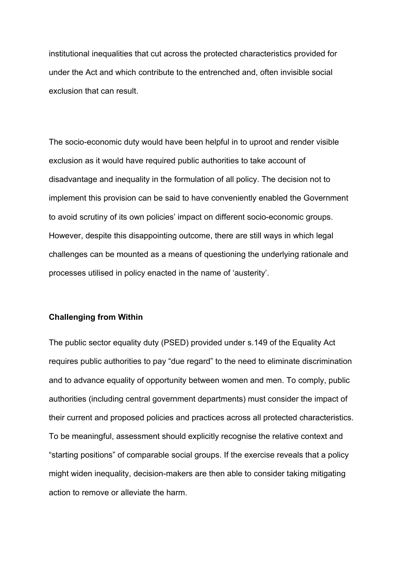institutional inequalities that cut across the protected characteristics provided for under the Act and which contribute to the entrenched and, often invisible social exclusion that can result.

The socio-economic duty would have been helpful in to uproot and render visible exclusion as it would have required public authorities to take account of disadvantage and inequality in the formulation of all policy. The decision not to implement this provision can be said to have conveniently enabled the Government to avoid scrutiny of its own policies' impact on different socio-economic groups. However, despite this disappointing outcome, there are still ways in which legal challenges can be mounted as a means of questioning the underlying rationale and processes utilised in policy enacted in the name of 'austerity'.

# **Challenging from Within**

The public sector equality duty (PSED) provided under s.149 of the Equality Act requires public authorities to pay "due regard" to the need to eliminate discrimination and to advance equality of opportunity between women and men. To comply, public authorities (including central government departments) must consider the impact of their current and proposed policies and practices across all protected characteristics. To be meaningful, assessment should explicitly recognise the relative context and "starting positions" of comparable social groups. If the exercise reveals that a policy might widen inequality, decision-makers are then able to consider taking mitigating action to remove or alleviate the harm.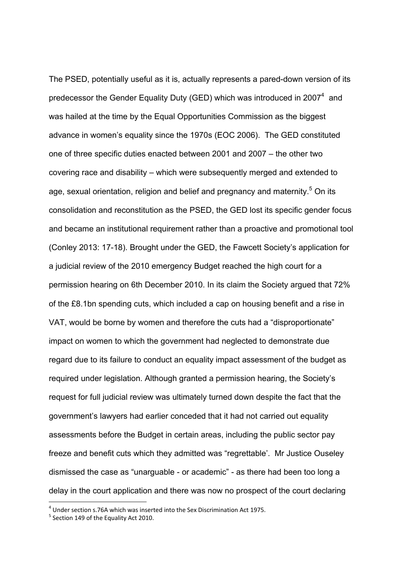The PSED, potentially useful as it is, actually represents a pared-down version of its predecessor the Gender Equality Duty (GED) which was introduced in 2007 $4$  and was hailed at the time by the Equal Opportunities Commission as the biggest advance in women's equality since the 1970s (EOC 2006). The GED constituted one of three specific duties enacted between 2001 and 2007 – the other two covering race and disability – which were subsequently merged and extended to age, sexual orientation, religion and belief and pregnancy and maternity.<sup>5</sup> On its consolidation and reconstitution as the PSED, the GED lost its specific gender focus and became an institutional requirement rather than a proactive and promotional tool (Conley 2013: 17-18). Brought under the GED, the Fawcett Society's application for a judicial review of the 2010 emergency Budget reached the high court for a permission hearing on 6th December 2010. In its claim the Society argued that 72% of the £8.1bn spending cuts, which included a cap on housing benefit and a rise in VAT, would be borne by women and therefore the cuts had a "disproportionate" impact on women to which the government had neglected to demonstrate due regard due to its failure to conduct an equality impact assessment of the budget as required under legislation. Although granted a permission hearing, the Society's request for full judicial review was ultimately turned down despite the fact that the government's lawyers had earlier conceded that it had not carried out equality assessments before the Budget in certain areas, including the public sector pay freeze and benefit cuts which they admitted was "regrettable'. Mr Justice Ouseley dismissed the case as "unarguable - or academic" - as there had been too long a delay in the court application and there was now no prospect of the court declaring

 4 Under section s.76A which was inserted into the Sex Discrimination Act 1975.

<sup>&</sup>lt;sup>5</sup> Section 149 of the Equality Act 2010.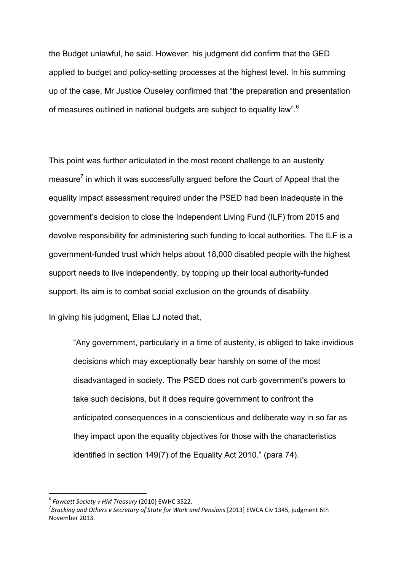the Budget unlawful, he said. However, his judgment did confirm that the GED applied to budget and policy-setting processes at the highest level. In his summing up of the case, Mr Justice Ouseley confirmed that "the preparation and presentation of measures outlined in national budgets are subject to equality law".<sup>6</sup>

This point was further articulated in the most recent challenge to an austerity measure<sup>7</sup> in which it was successfully argued before the Court of Appeal that the equality impact assessment required under the PSED had been inadequate in the government's decision to close the Independent Living Fund (ILF) from 2015 and devolve responsibility for administering such funding to local authorities. The ILF is a government-funded trust which helps about 18,000 disabled people with the highest support needs to live independently, by topping up their local authority-funded support. Its aim is to combat social exclusion on the grounds of disability.

In giving his judgment, Elias LJ noted that,

"Any government, particularly in a time of austerity, is obliged to take invidious decisions which may exceptionally bear harshly on some of the most disadvantaged in society. The PSED does not curb government's powers to take such decisions, but it does require government to confront the anticipated consequences in a conscientious and deliberate way in so far as they impact upon the equality objectives for those with the characteristics identified in section 149(7) of the Equality Act 2010." (para 74).

 6 *Fawcett Society v HM Treasury* (2010} EWHC 3522.

<sup>7</sup> *Bracking and Others v Secretary of State for Work and Pensions* [2013] EWCA Civ 1345, judgment 6th November 2013.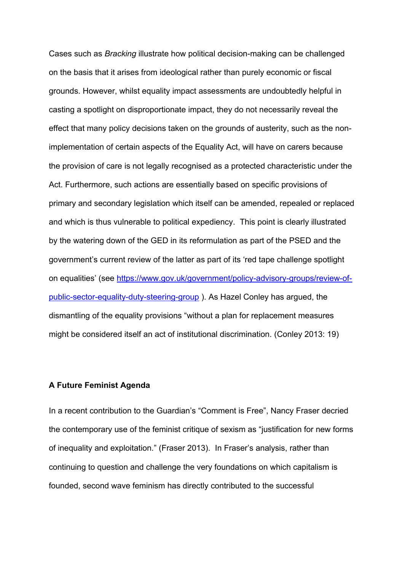Cases such as *Bracking* illustrate how political decision-making can be challenged on the basis that it arises from ideological rather than purely economic or fiscal grounds. However, whilst equality impact assessments are undoubtedly helpful in casting a spotlight on disproportionate impact, they do not necessarily reveal the effect that many policy decisions taken on the grounds of austerity, such as the nonimplementation of certain aspects of the Equality Act, will have on carers because the provision of care is not legally recognised as a protected characteristic under the Act. Furthermore, such actions are essentially based on specific provisions of primary and secondary legislation which itself can be amended, repealed or replaced and which is thus vulnerable to political expediency. This point is clearly illustrated by the watering down of the GED in its reformulation as part of the PSED and the government's current review of the latter as part of its 'red tape challenge spotlight on equalities' (see [https://www.gov.uk/government/policy-advisory-groups/review-of](https://www.gov.uk/government/policy-advisory-groups/review-of-public-sector-equality-duty-steering-group)[public-sector-equality-duty-steering-group](https://www.gov.uk/government/policy-advisory-groups/review-of-public-sector-equality-duty-steering-group) ). As Hazel Conley has argued, the dismantling of the equality provisions "without a plan for replacement measures might be considered itself an act of institutional discrimination. (Conley 2013: 19)

# **A Future Feminist Agenda**

In a recent contribution to the Guardian's "Comment is Free", Nancy Fraser decried the contemporary use of the feminist critique of sexism as "justification for new forms of inequality and exploitation." (Fraser 2013). In Fraser's analysis, rather than continuing to question and challenge the very foundations on which capitalism is founded, second wave feminism has directly contributed to the successful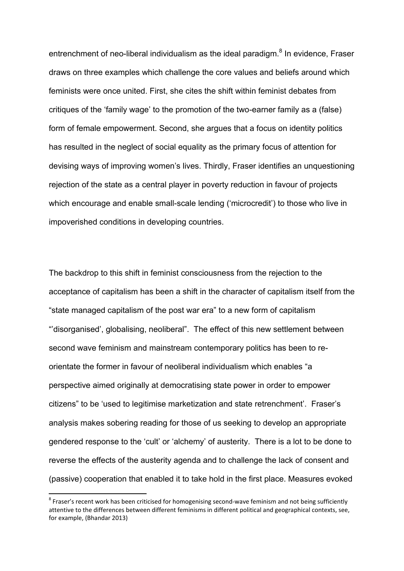entrenchment of neo-liberal individualism as the ideal paradigm.<sup>8</sup> In evidence, Fraser draws on three examples which challenge the core values and beliefs around which feminists were once united. First, she cites the shift within feminist debates from critiques of the 'family wage' to the promotion of the two-earner family as a (false) form of female empowerment. Second, she argues that a focus on identity politics has resulted in the neglect of social equality as the primary focus of attention for devising ways of improving women's lives. Thirdly, Fraser identifies an unquestioning rejection of the state as a central player in poverty reduction in favour of projects which encourage and enable small-scale lending ('microcredit') to those who live in impoverished conditions in developing countries.

The backdrop to this shift in feminist consciousness from the rejection to the acceptance of capitalism has been a shift in the character of capitalism itself from the "state managed capitalism of the post war era" to a new form of capitalism "'disorganised', globalising, neoliberal". The effect of this new settlement between second wave feminism and mainstream contemporary politics has been to reorientate the former in favour of neoliberal individualism which enables "a perspective aimed originally at democratising state power in order to empower citizens" to be 'used to legitimise marketization and state retrenchment'. Fraser's analysis makes sobering reading for those of us seeking to develop an appropriate gendered response to the 'cult' or 'alchemy' of austerity. There is a lot to be done to reverse the effects of the austerity agenda and to challenge the lack of consent and (passive) cooperation that enabled it to take hold in the first place. Measures evoked

**.** 

<sup>&</sup>lt;sup>8</sup> Fraser's recent work has been criticised for homogenising second-wave feminism and not being sufficiently attentive to the differences between different feminisms in different political and geographical contexts, see, for example, (Bhandar 2013)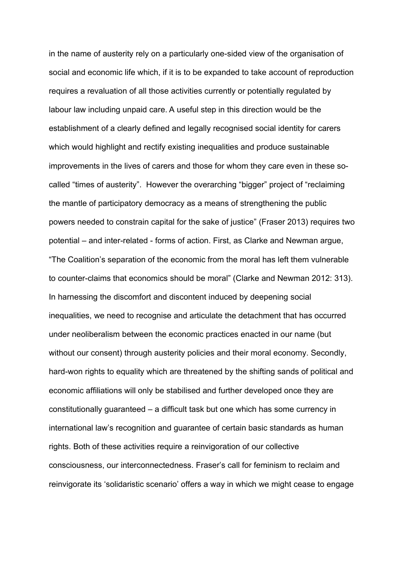in the name of austerity rely on a particularly one-sided view of the organisation of social and economic life which, if it is to be expanded to take account of reproduction requires a revaluation of all those activities currently or potentially regulated by labour law including unpaid care. A useful step in this direction would be the establishment of a clearly defined and legally recognised social identity for carers which would highlight and rectify existing inequalities and produce sustainable improvements in the lives of carers and those for whom they care even in these socalled "times of austerity". However the overarching "bigger" project of "reclaiming the mantle of participatory democracy as a means of strengthening the public powers needed to constrain capital for the sake of justice" (Fraser 2013) requires two potential – and inter-related - forms of action. First, as Clarke and Newman argue, "The Coalition's separation of the economic from the moral has left them vulnerable to counter-claims that economics should be moral" (Clarke and Newman 2012: 313). In harnessing the discomfort and discontent induced by deepening social inequalities, we need to recognise and articulate the detachment that has occurred under neoliberalism between the economic practices enacted in our name (but without our consent) through austerity policies and their moral economy. Secondly, hard-won rights to equality which are threatened by the shifting sands of political and economic affiliations will only be stabilised and further developed once they are constitutionally guaranteed – a difficult task but one which has some currency in international law's recognition and guarantee of certain basic standards as human rights. Both of these activities require a reinvigoration of our collective consciousness, our interconnectedness. Fraser's call for feminism to reclaim and reinvigorate its 'solidaristic scenario' offers a way in which we might cease to engage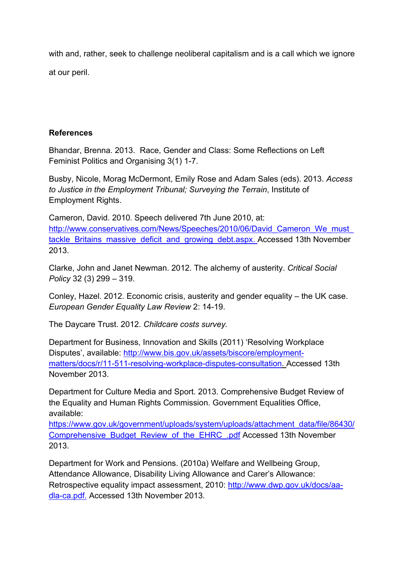with and, rather, seek to challenge neoliberal capitalism and is a call which we ignore at our peril.

# **References**

Bhandar, Brenna. 2013. Race, Gender and Class: Some Reflections on Left Feminist Politics and Organising 3(1) 1-7.

Busby, Nicole, Morag McDermont, Emily Rose and Adam Sales (eds). 2013. *Access to Justice in the Employment Tribunal; Surveying the Terrain*, Institute of Employment Rights.

Cameron, David. 2010. Speech delivered 7th June 2010, at: [http://www.conservatives.com/News/Speeches/2010/06/David\\_Cameron\\_We\\_must\\_](http://www.conservatives.com/News/Speeches/2010/06/David_Cameron_We_must_tackle_Britains_massive_deficit_and_growing_debt.aspx) [tackle\\_Britains\\_massive\\_deficit\\_and\\_growing\\_debt.aspx.](http://www.conservatives.com/News/Speeches/2010/06/David_Cameron_We_must_tackle_Britains_massive_deficit_and_growing_debt.aspx) Accessed 13th November 2013.

Clarke, John and Janet Newman. 2012. The alchemy of austerity. *Critical Social Policy* 32 (3) 299 – 319.

Conley, Hazel. 2012. Economic crisis, austerity and gender equality – the UK case. *European Gender Equality Law Review* 2: 14-19.

The Daycare Trust. 2012. *Childcare costs survey.*

Department for Business, Innovation and Skills (2011) 'Resolving Workplace Disputes', available: [http://www.bis.gov.uk/assets/biscore/employment](http://www.bis.gov.uk/assets/biscore/employment-matters/docs/r/11-511-resolving-workplace-disputes-consultation)[matters/docs/r/11-511-resolving-workplace-disputes-consultation.](http://www.bis.gov.uk/assets/biscore/employment-matters/docs/r/11-511-resolving-workplace-disputes-consultation) Accessed 13th November 2013.

Department for Culture Media and Sport. 2013. Comprehensive Budget Review of the Equality and Human Rights Commission. Government Equalities Office, available:

[https://www.gov.uk/government/uploads/system/uploads/attachment\\_data/file/86430/](https://www.gov.uk/government/uploads/system/uploads/attachment_data/file/86430/Comprehensive_Budget_Review_of_the_EHRC_.pdf) [Comprehensive\\_Budget\\_Review\\_of\\_the\\_EHRC\\_.pdf](https://www.gov.uk/government/uploads/system/uploads/attachment_data/file/86430/Comprehensive_Budget_Review_of_the_EHRC_.pdf) Accessed 13th November 2013.

Department for Work and Pensions. (2010a) Welfare and Wellbeing Group, Attendance Allowance, Disability Living Allowance and Carer's Allowance: Retrospective equality impact assessment, 2010: [http://www.dwp.gov.uk/docs/aa](http://www.dwp.gov.uk/docs/aa-dla-ca.pdf)[dla-ca.pdf.](http://www.dwp.gov.uk/docs/aa-dla-ca.pdf) Accessed 13th November 2013.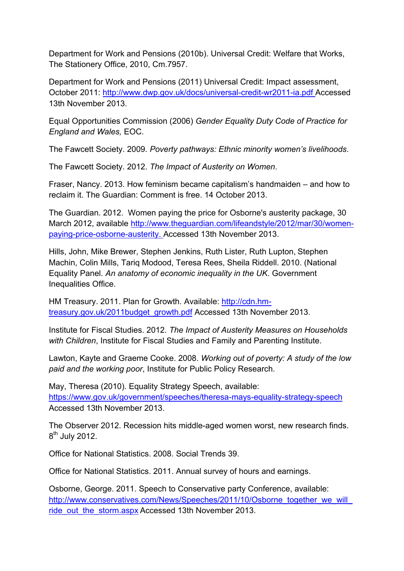Department for Work and Pensions (2010b). Universal Credit: Welfare that Works, The Stationery Office, 2010, Cm.7957.

Department for Work and Pensions (2011) Universal Credit: Impact assessment, October 2011:<http://www.dwp.gov.uk/docs/universal-credit-wr2011-ia.pdf> Accessed 13th November 2013.

Equal Opportunities Commission (2006) *Gender Equality Duty Code of Practice for England and Wales,* EOC.

The Fawcett Society. 2009. *Poverty pathways: Ethnic minority women's livelihoods*.

The Fawcett Society. 2012. *The Impact of Austerity on Women*.

Fraser, Nancy. 2013. How feminism became capitalism's handmaiden – and how to reclaim it. The Guardian: Comment is free. 14 October 2013.

The Guardian. 2012. Women paying the price for Osborne's austerity package, 30 March 2012, available [http://www.theguardian.com/lifeandstyle/2012/mar/30/women](http://www.theguardian.com/lifeandstyle/2012/mar/30/women-paying-price-osborne-austerity)[paying-price-osborne-austerity.](http://www.theguardian.com/lifeandstyle/2012/mar/30/women-paying-price-osborne-austerity) Accessed 13th November 2013.

Hills, John, Mike Brewer, Stephen Jenkins, Ruth Lister, Ruth Lupton, Stephen Machin, Colin Mills, Tariq Modood, Teresa Rees, Sheila Riddell. 2010. (National Equality Panel. *An anatomy of economic inequality in the UK*. Government Inequalities Office.

HM Treasury. 2011. Plan for Growth. Available: [http://cdn.hm](http://cdn.hm-treasury.gov.uk/2011budget_growth.pdf)[treasury.gov.uk/2011budget\\_growth.pdf](http://cdn.hm-treasury.gov.uk/2011budget_growth.pdf) Accessed 13th November 2013.

Institute for Fiscal Studies. 2012. *The Impact of Austerity Measures on Households with Children*, Institute for Fiscal Studies and Family and Parenting Institute.

Lawton, Kayte and Graeme Cooke. 2008. *Working out of poverty: A study of the low paid and the working poor*, Institute for Public Policy Research.

May, Theresa (2010). Equality Strategy Speech, available: <https://www.gov.uk/government/speeches/theresa-mays-equality-strategy-speech> Accessed 13th November 2013.

The Observer 2012. Recession hits middle-aged women worst, new research finds. 8<sup>th</sup> July 2012.

Office for National Statistics. 2008. Social Trends 39.

Office for National Statistics. 2011. Annual survey of hours and earnings.

Osborne, George. 2011. Speech to Conservative party Conference, available: [http://www.conservatives.com/News/Speeches/2011/10/Osborne\\_together\\_we\\_will\\_](http://www.conservatives.com/News/Speeches/2011/10/Osborne_together_we_will_ride_out_the_storm.aspx) [ride\\_out\\_the\\_storm.aspx](http://www.conservatives.com/News/Speeches/2011/10/Osborne_together_we_will_ride_out_the_storm.aspx) Accessed 13th November 2013.